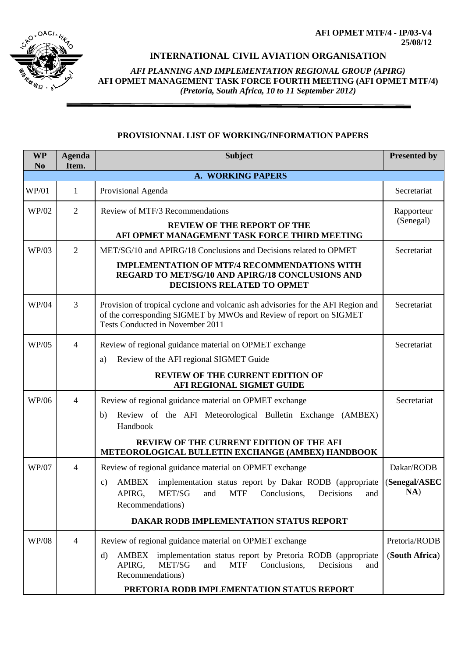**AFI OPMET MTF/4 - IP/03-V4 25/08/12**



## **INTERNATIONAL CIVIL AVIATION ORGANISATION**

*AFI PLANNING AND IMPLEMENTATION REGIONAL GROUP (APIRG)* **AFI OPMET MANAGEMENT TASK FORCE FOURTH MEETING (AFI OPMET MTF/4)**  *(Pretoria, South Africa, 10 to 11 September 2012)*

## **PROVISIONNAL LIST OF WORKING/INFORMATION PAPERS**

| <b>WP</b><br>N <sub>0</sub> | <b>Agenda</b><br>Item. | <b>Subject</b>                                                                                                                                                                                                                                                                                        | <b>Presented by</b>                |  |  |  |  |
|-----------------------------|------------------------|-------------------------------------------------------------------------------------------------------------------------------------------------------------------------------------------------------------------------------------------------------------------------------------------------------|------------------------------------|--|--|--|--|
|                             | A. WORKING PAPERS      |                                                                                                                                                                                                                                                                                                       |                                    |  |  |  |  |
| <b>WP/01</b>                | 1                      | Provisional Agenda                                                                                                                                                                                                                                                                                    | Secretariat                        |  |  |  |  |
| WP/02                       | $\overline{2}$         | Review of MTF/3 Recommendations<br><b>REVIEW OF THE REPORT OF THE</b><br>AFI OPMET MANAGEMENT TASK FORCE THIRD MEETING                                                                                                                                                                                | Rapporteur<br>(Senegal)            |  |  |  |  |
| WP/03                       | $\overline{2}$         | MET/SG/10 and APIRG/18 Conclusions and Decisions related to OPMET<br><b>IMPLEMENTATION OF MTF/4 RECOMMENDATIONS WITH</b><br>REGARD TO MET/SG/10 AND APIRG/18 CONCLUSIONS AND<br>DECISIONS RELATED TO OPMET                                                                                            | Secretariat                        |  |  |  |  |
| WP/04                       | 3                      | Provision of tropical cyclone and volcanic ash advisories for the AFI Region and<br>of the corresponding SIGMET by MWOs and Review of report on SIGMET<br>Tests Conducted in November 2011                                                                                                            | Secretariat                        |  |  |  |  |
| <b>WP/05</b>                | $\overline{4}$         | Review of regional guidance material on OPMET exchange<br>Review of the AFI regional SIGMET Guide<br>a)<br><b>REVIEW OF THE CURRENT EDITION OF</b><br>AFI REGIONAL SIGMET GUIDE                                                                                                                       | Secretariat                        |  |  |  |  |
| WP/06                       | $\overline{4}$         | Review of regional guidance material on OPMET exchange<br>Review of the AFI Meteorological Bulletin Exchange (AMBEX)<br>b)<br>Handbook<br>REVIEW OF THE CURRENT EDITION OF THE AFI<br>METEOROLOGICAL BULLETIN EXCHANGE (AMBEX) HANDBOOK                                                               | Secretariat                        |  |  |  |  |
| <b>WP/07</b>                | $\overline{4}$         | Review of regional guidance material on OPMET exchange<br><b>AMBEX</b><br>implementation status report by Dakar RODB (appropriate<br>$\mathbf{c})$<br>APIRG,<br>MET/SG<br><b>MTF</b><br>Conclusions,<br>Decisions<br>and<br>and<br>Recommendations)<br><b>DAKAR RODB IMPLEMENTATION STATUS REPORT</b> | Dakar/RODB<br>(Senegal/ASEC<br>NA) |  |  |  |  |
| WP/08                       | $\overline{4}$         | Review of regional guidance material on OPMET exchange<br>implementation status report by Pretoria RODB (appropriate<br>AMBEX<br>d)<br>MET/SG<br><b>MTF</b><br>Decisions<br>APIRG,<br>and<br>Conclusions.<br>and<br>Recommendations)<br>PRETORIA RODB IMPLEMENTATION STATUS REPORT                    | Pretoria/RODB<br>(South Africa)    |  |  |  |  |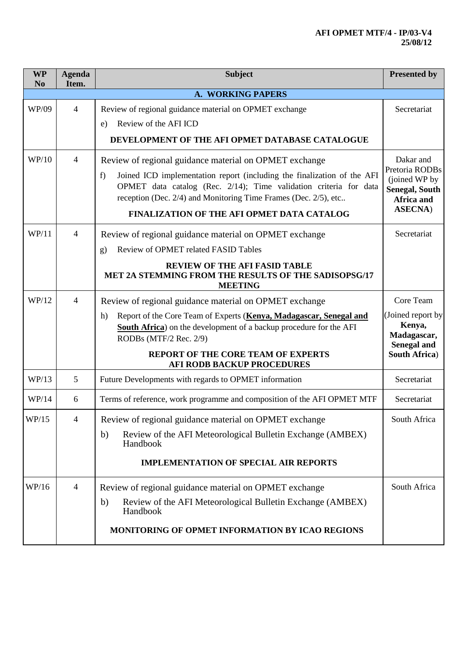## **AFI OPMET MTF/4 - IP/03-V4 25/08/12**

| <b>WP</b><br>N <sub>0</sub> | <b>Agenda</b><br>Item. | <b>Subject</b>                                                                                                                                                                                                                                                                                                                | <b>Presented by</b>                                                                                    |  |  |  |  |
|-----------------------------|------------------------|-------------------------------------------------------------------------------------------------------------------------------------------------------------------------------------------------------------------------------------------------------------------------------------------------------------------------------|--------------------------------------------------------------------------------------------------------|--|--|--|--|
|                             |                        | A. WORKING PAPERS                                                                                                                                                                                                                                                                                                             |                                                                                                        |  |  |  |  |
| WP/09                       | 4                      | Review of regional guidance material on OPMET exchange<br>Review of the AFI ICD<br>e)                                                                                                                                                                                                                                         | Secretariat                                                                                            |  |  |  |  |
|                             |                        | DEVELOPMENT OF THE AFI OPMET DATABASE CATALOGUE                                                                                                                                                                                                                                                                               |                                                                                                        |  |  |  |  |
| WP/10                       | 4                      | Review of regional guidance material on OPMET exchange<br>Joined ICD implementation report (including the finalization of the AFI<br>f)<br>OPMET data catalog (Rec. 2/14); Time validation criteria for data<br>reception (Dec. 2/4) and Monitoring Time Frames (Dec. 2/5), etc<br>FINALIZATION OF THE AFI OPMET DATA CATALOG | Dakar and<br>Pretoria RODBs<br>(joined WP by<br><b>Senegal, South</b><br>Africa and<br><b>ASECNA</b> ) |  |  |  |  |
| WP/11                       | $\overline{4}$         | Review of regional guidance material on OPMET exchange<br>Review of OPMET related FASID Tables<br>g)<br><b>REVIEW OF THE AFI FASID TABLE</b><br>MET 2A STEMMING FROM THE RESULTS OF THE SADISOPSG/17<br><b>MEETING</b>                                                                                                        | Secretariat                                                                                            |  |  |  |  |
| WP/12                       | 4                      | Review of regional guidance material on OPMET exchange<br>Report of the Core Team of Experts (Kenya, Madagascar, Senegal and<br>h)<br>South Africa) on the development of a backup procedure for the AFI<br>RODBs (MTF/2 Rec. 2/9)<br>REPORT OF THE CORE TEAM OF EXPERTS<br><b>AFI RODB BACKUP PROCEDURES</b>                 | Core Team<br>(Joined report by<br>Kenya,<br>Madagascar,<br><b>Senegal and</b><br><b>South Africa)</b>  |  |  |  |  |
| WP/13                       | 5                      | Future Developments with regards to OPMET information                                                                                                                                                                                                                                                                         | Secretariat                                                                                            |  |  |  |  |
| WP/14                       | 6                      | Terms of reference, work programme and composition of the AFI OPMET MTF                                                                                                                                                                                                                                                       | Secretariat                                                                                            |  |  |  |  |
| WP/15                       | 4                      | Review of regional guidance material on OPMET exchange<br>Review of the AFI Meteorological Bulletin Exchange (AMBEX)<br>b)<br>Handbook<br><b>IMPLEMENTATION OF SPECIAL AIR REPORTS</b>                                                                                                                                        | South Africa                                                                                           |  |  |  |  |
| WP/16                       | 4                      | Review of regional guidance material on OPMET exchange<br>Review of the AFI Meteorological Bulletin Exchange (AMBEX)<br>b)<br>Handbook<br>MONITORING OF OPMET INFORMATION BY ICAO REGIONS                                                                                                                                     | South Africa                                                                                           |  |  |  |  |